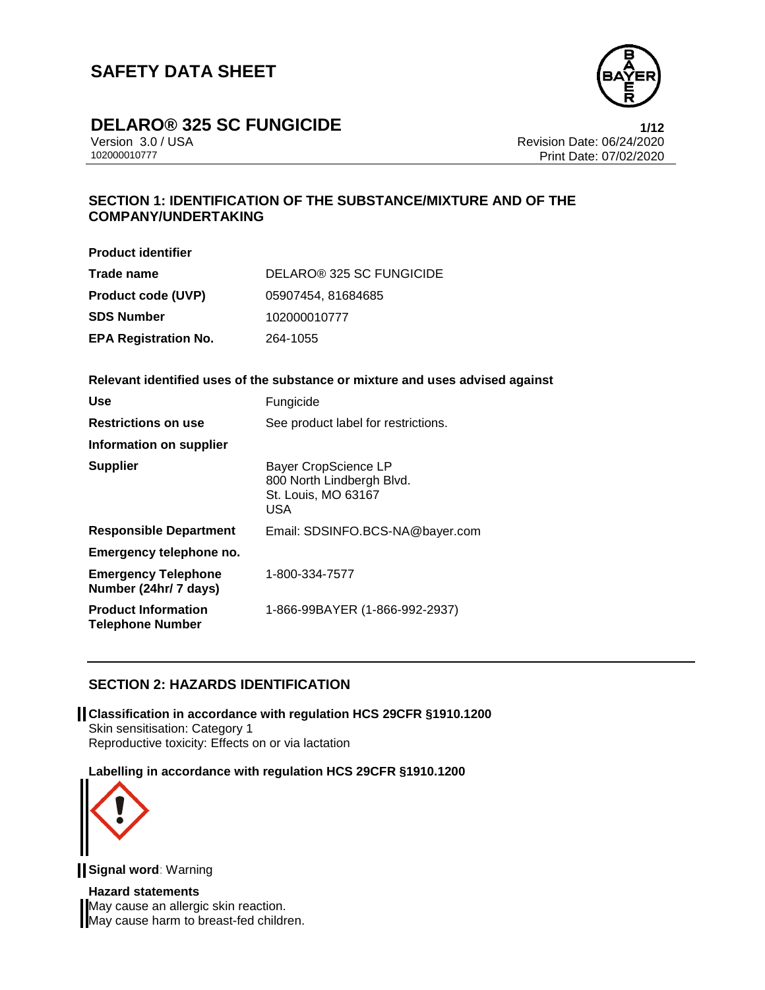

### **DELARO® 325 SC FUNGICIDE 1/12**

Version 3.0 / USA Revision Date: 06/24/2020 Print Date: 07/02/2020

### **SECTION 1: IDENTIFICATION OF THE SUBSTANCE/MIXTURE AND OF THE COMPANY/UNDERTAKING**

| <b>Product identifier</b>   |                          |
|-----------------------------|--------------------------|
| Trade name                  | DELARO® 325 SC FUNGICIDE |
| <b>Product code (UVP)</b>   | 05907454, 81684685       |
| <b>SDS Number</b>           | 102000010777             |
| <b>EPA Registration No.</b> | 264-1055                 |

#### **Relevant identified uses of the substance or mixture and uses advised against**

| Use                                                   | Fungicide                                                                              |
|-------------------------------------------------------|----------------------------------------------------------------------------------------|
| <b>Restrictions on use</b>                            | See product label for restrictions.                                                    |
| Information on supplier                               |                                                                                        |
| <b>Supplier</b>                                       | <b>Bayer CropScience LP</b><br>800 North Lindbergh Blvd.<br>St. Louis, MO 63167<br>USA |
| <b>Responsible Department</b>                         | Email: SDSINFO.BCS-NA@bayer.com                                                        |
| Emergency telephone no.                               |                                                                                        |
| <b>Emergency Telephone</b><br>Number (24hr/ 7 days)   | 1-800-334-7577                                                                         |
| <b>Product Information</b><br><b>Telephone Number</b> | 1-866-99BAYER (1-866-992-2937)                                                         |

### **SECTION 2: HAZARDS IDENTIFICATION**

**Classification in accordance with regulation HCS 29CFR §1910.1200** Skin sensitisation: Category 1 Reproductive toxicity: Effects on or via lactation

#### **Labelling in accordance with regulation HCS 29CFR §1910.1200**



**Signal word**: Warning

**Hazard statements** May cause an allergic skin reaction. May cause harm to breast-fed children.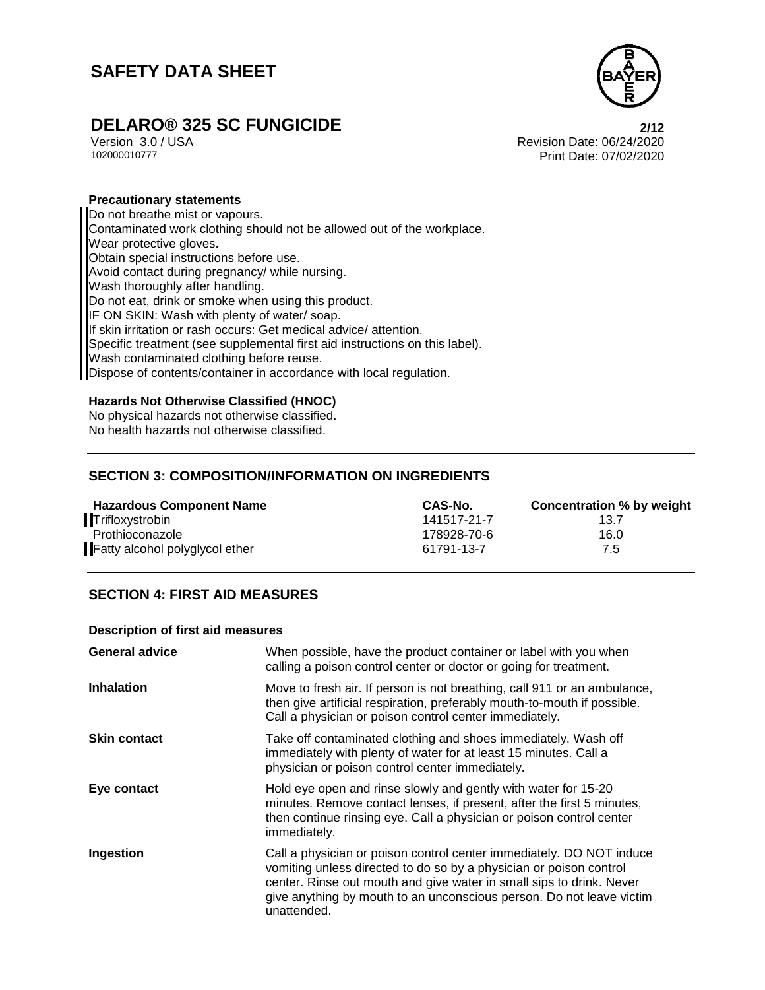

# **DELARO® 325 SC FUNGICIDE 2/12**

Version 3.0 / USA Revision Date: 06/24/2020<br>102000010777<br>Revision Date: 07/02/2020 Print Date: 07/02/2020

#### **Precautionary statements**

Do not breathe mist or vapours. Contaminated work clothing should not be allowed out of the workplace. Wear protective gloves. Obtain special instructions before use. Avoid contact during pregnancy/ while nursing. Wash thoroughly after handling. Do not eat, drink or smoke when using this product. IF ON SKIN: Wash with plenty of water/ soap. If skin irritation or rash occurs: Get medical advice/ attention. Specific treatment (see supplemental first aid instructions on this label). Wash contaminated clothing before reuse. Dispose of contents/container in accordance with local regulation.

#### **Hazards Not Otherwise Classified (HNOC)**

No physical hazards not otherwise classified. No health hazards not otherwise classified.

### **SECTION 3: COMPOSITION/INFORMATION ON INGREDIENTS**

| <b>Hazardous Component Name</b> | CAS-No.     | Concentration % by weight |
|---------------------------------|-------------|---------------------------|
| Trifloxystrobin                 | 141517-21-7 | 13.7                      |
| Prothioconazole                 | 178928-70-6 | 16.0                      |
| Fatty alcohol polyglycol ether  | 61791-13-7  | 7.5                       |

### **SECTION 4: FIRST AID MEASURES**

#### **Description of first aid measures**

| <b>General advice</b> | When possible, have the product container or label with you when<br>calling a poison control center or doctor or going for treatment.                                                                                                                                                                     |
|-----------------------|-----------------------------------------------------------------------------------------------------------------------------------------------------------------------------------------------------------------------------------------------------------------------------------------------------------|
| <b>Inhalation</b>     | Move to fresh air. If person is not breathing, call 911 or an ambulance,<br>then give artificial respiration, preferably mouth-to-mouth if possible.<br>Call a physician or poison control center immediately.                                                                                            |
| <b>Skin contact</b>   | Take off contaminated clothing and shoes immediately. Wash off<br>immediately with plenty of water for at least 15 minutes. Call a<br>physician or poison control center immediately.                                                                                                                     |
| Eye contact           | Hold eye open and rinse slowly and gently with water for 15-20<br>minutes. Remove contact lenses, if present, after the first 5 minutes,<br>then continue rinsing eye. Call a physician or poison control center<br>immediately.                                                                          |
| Ingestion             | Call a physician or poison control center immediately. DO NOT induce<br>vomiting unless directed to do so by a physician or poison control<br>center. Rinse out mouth and give water in small sips to drink. Never<br>give anything by mouth to an unconscious person. Do not leave victim<br>unattended. |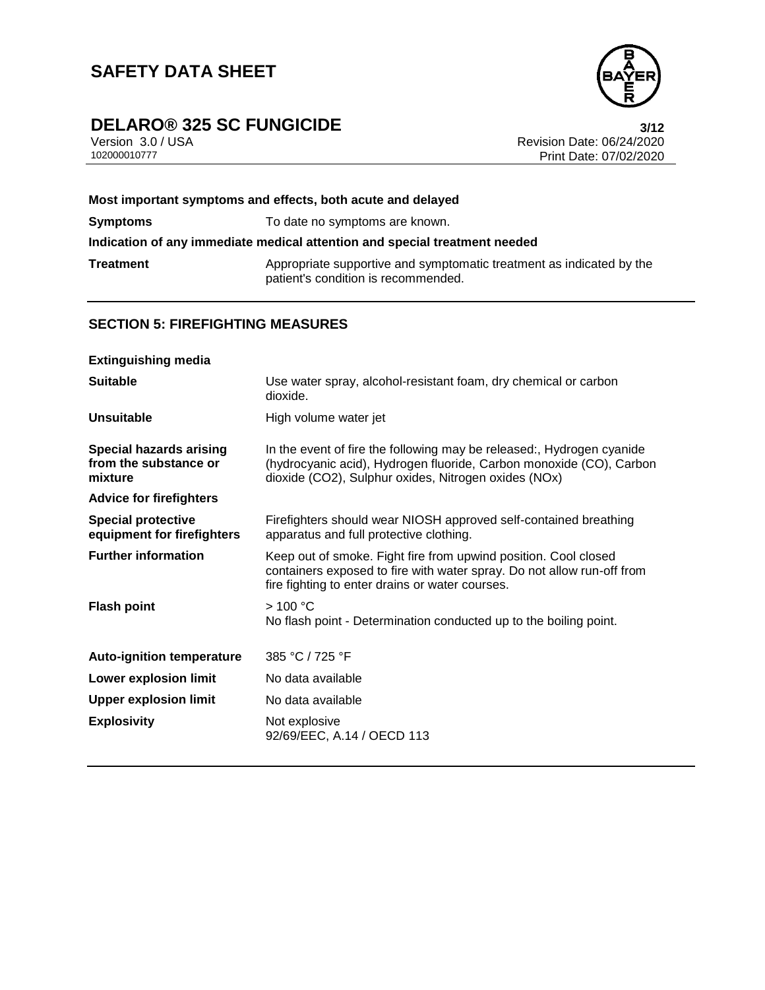# **DELARO® 325 SC FUNGICIDE**<br>Version 3.0 / USA **3/12**<br>Revision Date: 06/24/2020



Version 3.0 / USA **Revision Date: 06/24/2020**<br>102000010777 Print Date: 07/02/2020 Print Date: 07/02/2020

|                 | Most important symptoms and effects, both acute and delayed                                                 |
|-----------------|-------------------------------------------------------------------------------------------------------------|
| <b>Symptoms</b> | To date no symptoms are known.                                                                              |
|                 | Indication of any immediate medical attention and special treatment needed                                  |
| Treatment       | Appropriate supportive and symptomatic treatment as indicated by the<br>patient's condition is recommended. |

### **SECTION 5: FIREFIGHTING MEASURES**

| <b>Extinguishing media</b>                                         |                                                                                                                                                                                                      |
|--------------------------------------------------------------------|------------------------------------------------------------------------------------------------------------------------------------------------------------------------------------------------------|
| <b>Suitable</b>                                                    | Use water spray, alcohol-resistant foam, dry chemical or carbon<br>dioxide.                                                                                                                          |
| <b>Unsuitable</b>                                                  | High volume water jet                                                                                                                                                                                |
| <b>Special hazards arising</b><br>from the substance or<br>mixture | In the event of fire the following may be released:, Hydrogen cyanide<br>(hydrocyanic acid), Hydrogen fluoride, Carbon monoxide (CO), Carbon<br>dioxide (CO2), Sulphur oxides, Nitrogen oxides (NOx) |
| <b>Advice for firefighters</b>                                     |                                                                                                                                                                                                      |
| <b>Special protective</b><br>equipment for firefighters            | Firefighters should wear NIOSH approved self-contained breathing<br>apparatus and full protective clothing.                                                                                          |
| <b>Further information</b>                                         | Keep out of smoke. Fight fire from upwind position. Cool closed<br>containers exposed to fire with water spray. Do not allow run-off from<br>fire fighting to enter drains or water courses.         |
| <b>Flash point</b>                                                 | >100 °C<br>No flash point - Determination conducted up to the boiling point.                                                                                                                         |
| <b>Auto-ignition temperature</b>                                   | 385 °C / 725 °F                                                                                                                                                                                      |
| <b>Lower explosion limit</b>                                       | No data available                                                                                                                                                                                    |
| <b>Upper explosion limit</b>                                       | No data available                                                                                                                                                                                    |
| <b>Explosivity</b>                                                 | Not explosive<br>92/69/EEC, A.14 / OECD 113                                                                                                                                                          |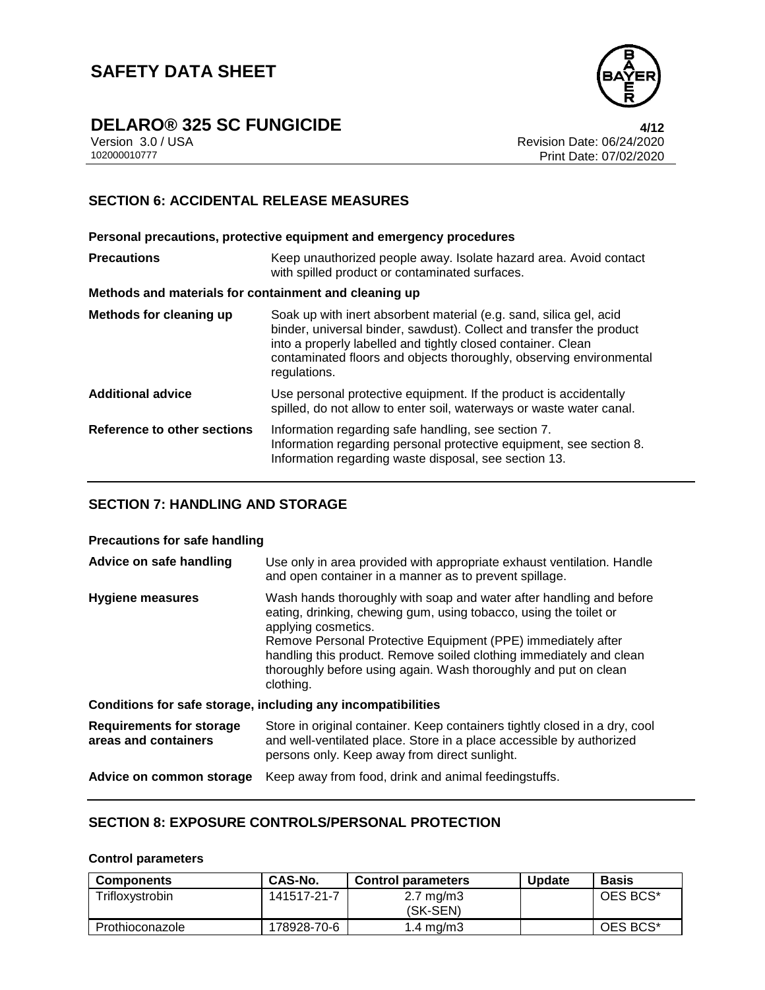

### **DELARO® 325 SC FUNGICIDE 4/12**

Version 3.0 / USA Revision Date: 06/24/2020 Print Date: 07/02/2020

### **SECTION 6: ACCIDENTAL RELEASE MEASURES**

**Personal precautions, protective equipment and emergency procedures Precautions Keep unauthorized people away. Isolate hazard area. Avoid contact** with spilled product or contaminated surfaces. **Methods and materials for containment and cleaning up Methods for cleaning up** Soak up with inert absorbent material (e.g. sand, silica gel, acid binder, universal binder, sawdust). Collect and transfer the product into a properly labelled and tightly closed container. Clean contaminated floors and objects thoroughly, observing environmental regulations. **Additional advice** Use personal protective equipment. If the product is accidentally spilled, do not allow to enter soil, waterways or waste water canal. **Reference to other sections** Information regarding safe handling, see section 7. Information regarding personal protective equipment, see section 8. Information regarding waste disposal, see section 13.

### **SECTION 7: HANDLING AND STORAGE**

#### **Precautions for safe handling**

| Advice on safe handling                                 | Use only in area provided with appropriate exhaust ventilation. Handle<br>and open container in a manner as to prevent spillage.                                                                                                                                                                                                                                                       |
|---------------------------------------------------------|----------------------------------------------------------------------------------------------------------------------------------------------------------------------------------------------------------------------------------------------------------------------------------------------------------------------------------------------------------------------------------------|
| Hygiene measures                                        | Wash hands thoroughly with soap and water after handling and before<br>eating, drinking, chewing gum, using tobacco, using the toilet or<br>applying cosmetics.<br>Remove Personal Protective Equipment (PPE) immediately after<br>handling this product. Remove soiled clothing immediately and clean<br>thoroughly before using again. Wash thoroughly and put on clean<br>clothing. |
|                                                         | Conditions for safe storage, including any incompatibilities                                                                                                                                                                                                                                                                                                                           |
| <b>Requirements for storage</b><br>areas and containers | Store in original container. Keep containers tightly closed in a dry, cool<br>and well-ventilated place. Store in a place accessible by authorized<br>persons only. Keep away from direct sunlight.                                                                                                                                                                                    |
| Advice on common storage                                | Keep away from food, drink and animal feedingstuffs.                                                                                                                                                                                                                                                                                                                                   |

### **SECTION 8: EXPOSURE CONTROLS/PERSONAL PROTECTION**

#### **Control parameters**

| <b>Components</b> | <b>CAS-No.</b> | <b>Control parameters</b>        | <b>Update</b> | Basis    |
|-------------------|----------------|----------------------------------|---------------|----------|
| Trifloxystrobin   | 141517-21-7    | $2.7 \text{ mg/m}$ 3<br>(SK-SEN) |               | OES BCS* |
| Prothioconazole   | 178928-70-6    | 1.4 $mg/m3$                      |               | OES BCS* |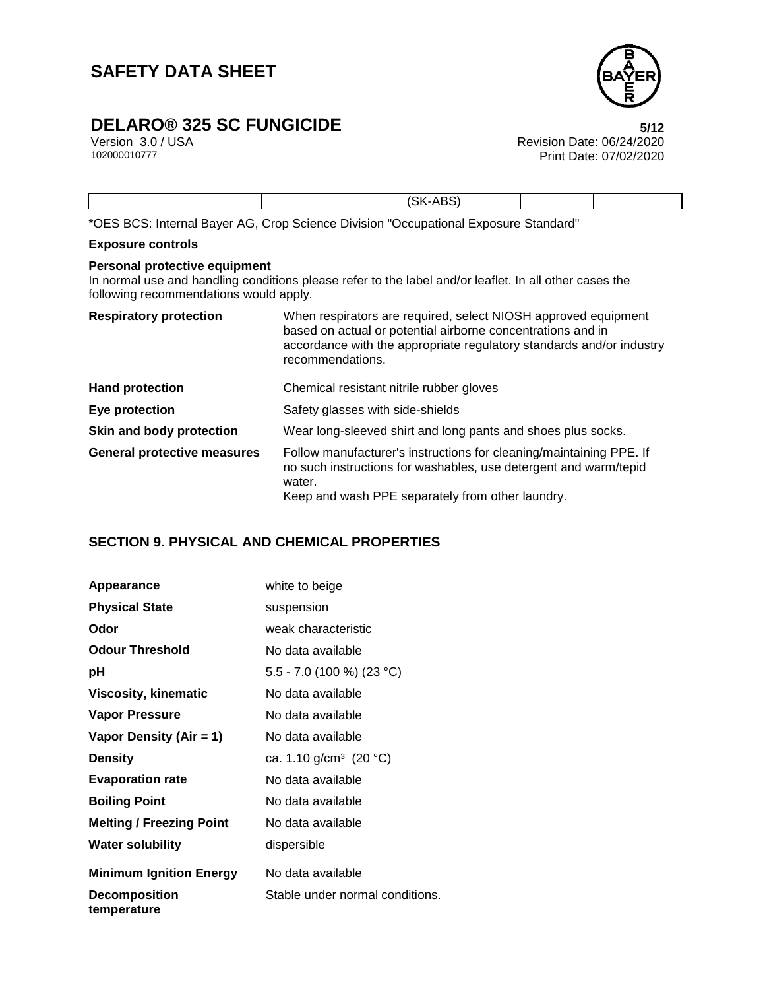

# **DELARO® 325 SC FUNGICIDE**<br>Version 3.0 / USA **5/12**<br>Revision Date: 06/24/2020

Version 3.0 / USA Revision Date: 06/24/2020<br>102000010777 Print Date: 07/02/2020 Print Date: 07/02/2020

|  | CV.<br>$\Delta$<br>$\overline{\phantom{0}}$ |  |
|--|---------------------------------------------|--|

\*OES BCS: Internal Bayer AG, Crop Science Division "Occupational Exposure Standard"

### **Exposure controls**

#### **Personal protective equipment**

In normal use and handling conditions please refer to the label and/or leaflet. In all other cases the following recommendations would apply.

| <b>Respiratory protection</b>      | When respirators are required, select NIOSH approved equipment<br>based on actual or potential airborne concentrations and in<br>accordance with the appropriate regulatory standards and/or industry<br>recommendations. |
|------------------------------------|---------------------------------------------------------------------------------------------------------------------------------------------------------------------------------------------------------------------------|
| <b>Hand protection</b>             | Chemical resistant nitrile rubber gloves                                                                                                                                                                                  |
| Eye protection                     | Safety glasses with side-shields                                                                                                                                                                                          |
| Skin and body protection           | Wear long-sleeved shirt and long pants and shoes plus socks.                                                                                                                                                              |
| <b>General protective measures</b> | Follow manufacturer's instructions for cleaning/maintaining PPE. If<br>no such instructions for washables, use detergent and warm/tepid<br>water.<br>Keep and wash PPE separately from other laundry.                     |

### **SECTION 9. PHYSICAL AND CHEMICAL PROPERTIES**

| Appearance                          | white to beige                     |
|-------------------------------------|------------------------------------|
| <b>Physical State</b>               | suspension                         |
| Odor                                | weak characteristic                |
| <b>Odour Threshold</b>              | No data available                  |
| рH                                  | 5.5 - 7.0 (100 %) (23 °C)          |
| Viscosity, kinematic                | No data available                  |
| <b>Vapor Pressure</b>               | No data available                  |
| Vapor Density (Air = 1)             | No data available                  |
| <b>Density</b>                      | ca. 1.10 g/cm <sup>3</sup> (20 °C) |
| <b>Evaporation rate</b>             | No data available                  |
| <b>Boiling Point</b>                | No data available                  |
| <b>Melting / Freezing Point</b>     | No data available                  |
| <b>Water solubility</b>             | dispersible                        |
| <b>Minimum Ignition Energy</b>      | No data available                  |
| <b>Decomposition</b><br>temperature | Stable under normal conditions.    |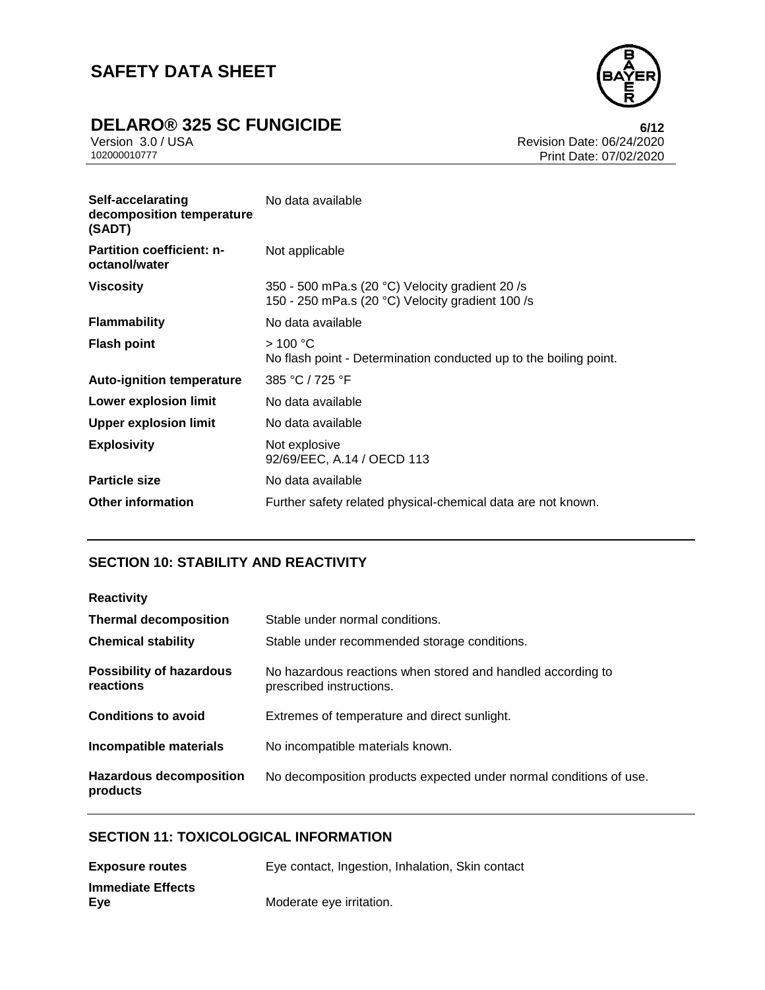

# **DELARO® 325 SC FUNGICIDE**<br>Version 3.0 / USA **6/12**<br>Revision Date: 06/24/2020

Version 3.0 / USA **Revision Date: 06/24/2020**<br>102000010777 **Revision Date: 06/24/2020** Print Date: 07/02/2020

| Self-accelarating<br>decomposition temperature<br>(SADT) | No data available                                                                                   |
|----------------------------------------------------------|-----------------------------------------------------------------------------------------------------|
| <b>Partition coefficient: n-</b><br>octanol/water        | Not applicable                                                                                      |
| <b>Viscosity</b>                                         | 350 - 500 mPa.s (20 °C) Velocity gradient 20 /s<br>150 - 250 mPa.s (20 °C) Velocity gradient 100 /s |
| <b>Flammability</b>                                      | No data available                                                                                   |
| <b>Flash point</b>                                       | >100 °C<br>No flash point - Determination conducted up to the boiling point.                        |
| <b>Auto-ignition temperature</b>                         | 385 °C / 725 °F                                                                                     |
| Lower explosion limit                                    | No data available                                                                                   |
| Upper explosion limit                                    | No data available                                                                                   |
| <b>Explosivity</b>                                       | Not explosive<br>92/69/EEC, A.14 / OECD 113                                                         |
| <b>Particle size</b>                                     | No data available                                                                                   |
| <b>Other information</b>                                 | Further safety related physical-chemical data are not known.                                        |

### **SECTION 10: STABILITY AND REACTIVITY**

| <b>Reactivity</b>                            |                                                                                         |
|----------------------------------------------|-----------------------------------------------------------------------------------------|
| <b>Thermal decomposition</b>                 | Stable under normal conditions.                                                         |
| <b>Chemical stability</b>                    | Stable under recommended storage conditions.                                            |
| <b>Possibility of hazardous</b><br>reactions | No hazardous reactions when stored and handled according to<br>prescribed instructions. |
| <b>Conditions to avoid</b>                   | Extremes of temperature and direct sunlight.                                            |
| Incompatible materials                       | No incompatible materials known.                                                        |
| <b>Hazardous decomposition</b><br>products   | No decomposition products expected under normal conditions of use.                      |

### **SECTION 11: TOXICOLOGICAL INFORMATION**

| <b>Exposure routes</b>   | Eye contact, Ingestion, Inhalation, Skin contact |
|--------------------------|--------------------------------------------------|
| <b>Immediate Effects</b> |                                                  |
| Eye                      | Moderate eye irritation.                         |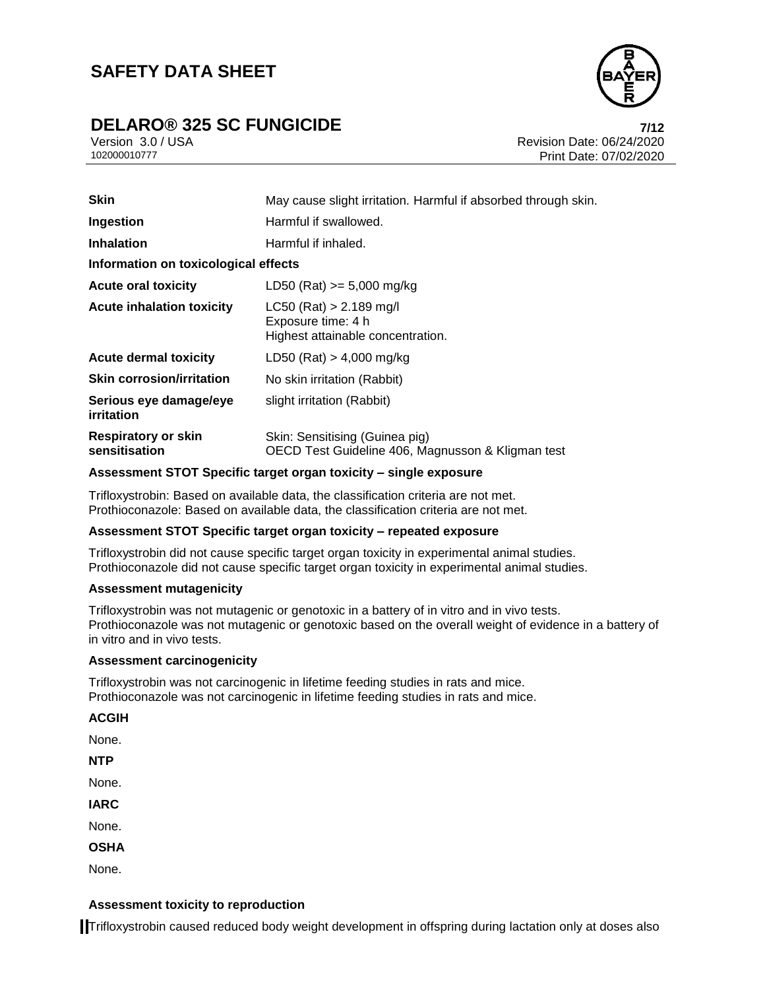## **DELARO® 325 SC FUNGICIDE 7/12**



Version 3.0 / USA Revision Date: 06/24/2020 102000010777 Print Date: 07/02/2020

| <b>Skin</b>                                 | May cause slight irritation. Harmful if absorbed through skin.                       |  |
|---------------------------------------------|--------------------------------------------------------------------------------------|--|
| Ingestion                                   | Harmful if swallowed.                                                                |  |
| <b>Inhalation</b>                           | Harmful if inhaled.                                                                  |  |
| Information on toxicological effects        |                                                                                      |  |
| <b>Acute oral toxicity</b>                  | LD50 (Rat) $>= 5,000$ mg/kg                                                          |  |
| <b>Acute inhalation toxicity</b>            | $LC50$ (Rat) > 2.189 mg/l<br>Exposure time: 4 h<br>Highest attainable concentration. |  |
| <b>Acute dermal toxicity</b>                | LD50 (Rat) $> 4,000$ mg/kg                                                           |  |
| <b>Skin corrosion/irritation</b>            | No skin irritation (Rabbit)                                                          |  |
| Serious eye damage/eye<br><i>irritation</i> | slight irritation (Rabbit)                                                           |  |
| <b>Respiratory or skin</b><br>sensitisation | Skin: Sensitising (Guinea pig)<br>OECD Test Guideline 406, Magnusson & Kligman test  |  |

#### **Assessment STOT Specific target organ toxicity – single exposure**

Trifloxystrobin: Based on available data, the classification criteria are not met. Prothioconazole: Based on available data, the classification criteria are not met.

### **Assessment STOT Specific target organ toxicity – repeated exposure**

Trifloxystrobin did not cause specific target organ toxicity in experimental animal studies. Prothioconazole did not cause specific target organ toxicity in experimental animal studies.

#### **Assessment mutagenicity**

Trifloxystrobin was not mutagenic or genotoxic in a battery of in vitro and in vivo tests. Prothioconazole was not mutagenic or genotoxic based on the overall weight of evidence in a battery of in vitro and in vivo tests.

#### **Assessment carcinogenicity**

Trifloxystrobin was not carcinogenic in lifetime feeding studies in rats and mice. Prothioconazole was not carcinogenic in lifetime feeding studies in rats and mice.

**ACGIH**

None.

**NTP**

None.

**IARC**

None.

**OSHA**

None.

#### **Assessment toxicity to reproduction**

Trifloxystrobin caused reduced body weight development in offspring during lactation only at doses also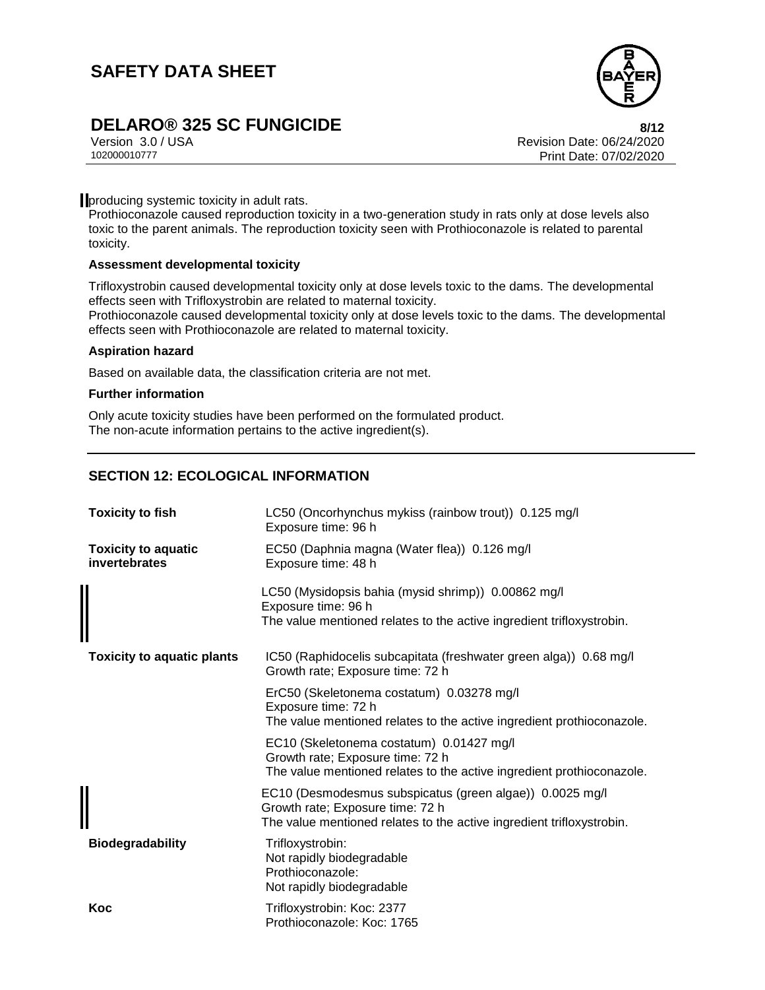

# **DELARO® 325 SC FUNGICIDE 8/12**

Version 3.0 / USA Revision Date: 06/24/2020<br>102000010777<br>Revision Date: 07/02/2020 Print Date: 07/02/2020

**producing systemic toxicity in adult rats.** 

Prothioconazole caused reproduction toxicity in a two-generation study in rats only at dose levels also toxic to the parent animals. The reproduction toxicity seen with Prothioconazole is related to parental toxicity.

#### **Assessment developmental toxicity**

Trifloxystrobin caused developmental toxicity only at dose levels toxic to the dams. The developmental effects seen with Trifloxystrobin are related to maternal toxicity.

Prothioconazole caused developmental toxicity only at dose levels toxic to the dams. The developmental effects seen with Prothioconazole are related to maternal toxicity.

#### **Aspiration hazard**

Based on available data, the classification criteria are not met.

#### **Further information**

Only acute toxicity studies have been performed on the formulated product. The non-acute information pertains to the active ingredient(s).

### **SECTION 12: ECOLOGICAL INFORMATION**

| <b>Toxicity to fish</b>                     | LC50 (Oncorhynchus mykiss (rainbow trout)) 0.125 mg/l<br>Exposure time: 96 h                                                                                          |  |  |
|---------------------------------------------|-----------------------------------------------------------------------------------------------------------------------------------------------------------------------|--|--|
| <b>Toxicity to aquatic</b><br>invertebrates | EC50 (Daphnia magna (Water flea)) 0.126 mg/l<br>Exposure time: 48 h                                                                                                   |  |  |
|                                             | LC50 (Mysidopsis bahia (mysid shrimp)) 0.00862 mg/l<br>Exposure time: 96 h<br>The value mentioned relates to the active ingredient trifloxystrobin.                   |  |  |
| <b>Toxicity to aquatic plants</b>           | IC50 (Raphidocelis subcapitata (freshwater green alga)) 0.68 mg/l<br>Growth rate; Exposure time: 72 h                                                                 |  |  |
|                                             | ErC50 (Skeletonema costatum) 0.03278 mg/l<br>Exposure time: 72 h<br>The value mentioned relates to the active ingredient prothioconazole.                             |  |  |
|                                             | EC10 (Skeletonema costatum) 0.01427 mg/l<br>Growth rate; Exposure time: 72 h<br>The value mentioned relates to the active ingredient prothioconazole.                 |  |  |
|                                             | EC10 (Desmodesmus subspicatus (green algae)) 0.0025 mg/l<br>Growth rate; Exposure time: 72 h<br>The value mentioned relates to the active ingredient trifloxystrobin. |  |  |
| <b>Biodegradability</b>                     | Trifloxystrobin:<br>Not rapidly biodegradable<br>Prothioconazole:<br>Not rapidly biodegradable                                                                        |  |  |
| Koc                                         | Trifloxystrobin: Koc: 2377<br>Prothioconazole: Koc: 1765                                                                                                              |  |  |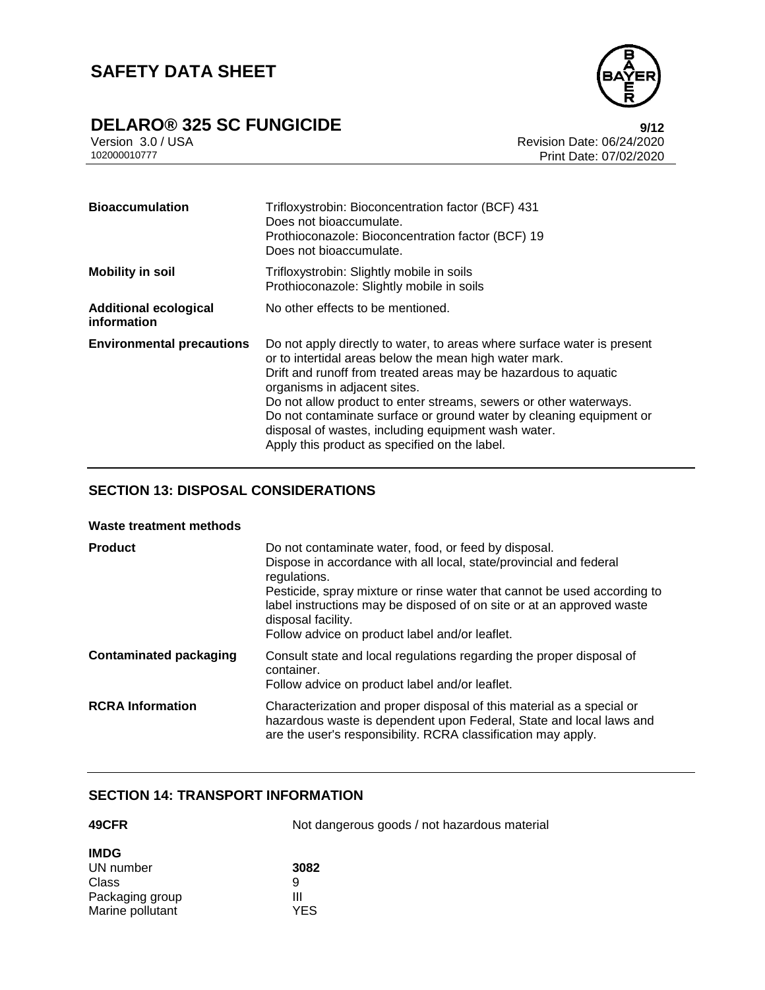

# **DELARO®** 325 SC FUNGICIDE<br>Version 3.0 / USA **Properties and Secure 24/2020**<br>Revision Date: 06/24/2020

Version 3.0 / USA **Revision Date: 06/24/2020**<br>102000010777 **Revision Date: 06/24/2020** Print Date: 07/02/2020

| <b>Bioaccumulation</b>                      | Trifloxystrobin: Bioconcentration factor (BCF) 431<br>Does not bioaccumulate.<br>Prothioconazole: Bioconcentration factor (BCF) 19<br>Does not bioaccumulate.                                                                                                                                                                                                                                                                                                                            |  |  |
|---------------------------------------------|------------------------------------------------------------------------------------------------------------------------------------------------------------------------------------------------------------------------------------------------------------------------------------------------------------------------------------------------------------------------------------------------------------------------------------------------------------------------------------------|--|--|
| <b>Mobility in soil</b>                     | Trifloxystrobin: Slightly mobile in soils<br>Prothioconazole: Slightly mobile in soils                                                                                                                                                                                                                                                                                                                                                                                                   |  |  |
| <b>Additional ecological</b><br>information | No other effects to be mentioned.                                                                                                                                                                                                                                                                                                                                                                                                                                                        |  |  |
| <b>Environmental precautions</b>            | Do not apply directly to water, to areas where surface water is present<br>or to intertidal areas below the mean high water mark.<br>Drift and runoff from treated areas may be hazardous to aquatic<br>organisms in adjacent sites.<br>Do not allow product to enter streams, sewers or other waterways.<br>Do not contaminate surface or ground water by cleaning equipment or<br>disposal of wastes, including equipment wash water.<br>Apply this product as specified on the label. |  |  |

### **SECTION 13: DISPOSAL CONSIDERATIONS**

#### **Waste treatment methods**

| <b>Product</b>                | Do not contaminate water, food, or feed by disposal.<br>Dispose in accordance with all local, state/provincial and federal<br>regulations.<br>Pesticide, spray mixture or rinse water that cannot be used according to<br>label instructions may be disposed of on site or at an approved waste<br>disposal facility.<br>Follow advice on product label and/or leaflet. |  |
|-------------------------------|-------------------------------------------------------------------------------------------------------------------------------------------------------------------------------------------------------------------------------------------------------------------------------------------------------------------------------------------------------------------------|--|
| <b>Contaminated packaging</b> | Consult state and local regulations regarding the proper disposal of<br>container.<br>Follow advice on product label and/or leaflet.                                                                                                                                                                                                                                    |  |
| <b>RCRA</b> Information       | Characterization and proper disposal of this material as a special or<br>hazardous waste is dependent upon Federal, State and local laws and<br>are the user's responsibility. RCRA classification may apply.                                                                                                                                                           |  |

### **SECTION 14: TRANSPORT INFORMATION**

| 49CFR            | Not dangerous goods / not hazardous material |
|------------------|----------------------------------------------|
| <b>IMDG</b>      |                                              |
| UN number        | 3082                                         |
| Class            | 9                                            |
| Packaging group  | Ш                                            |
| Marine pollutant | YES                                          |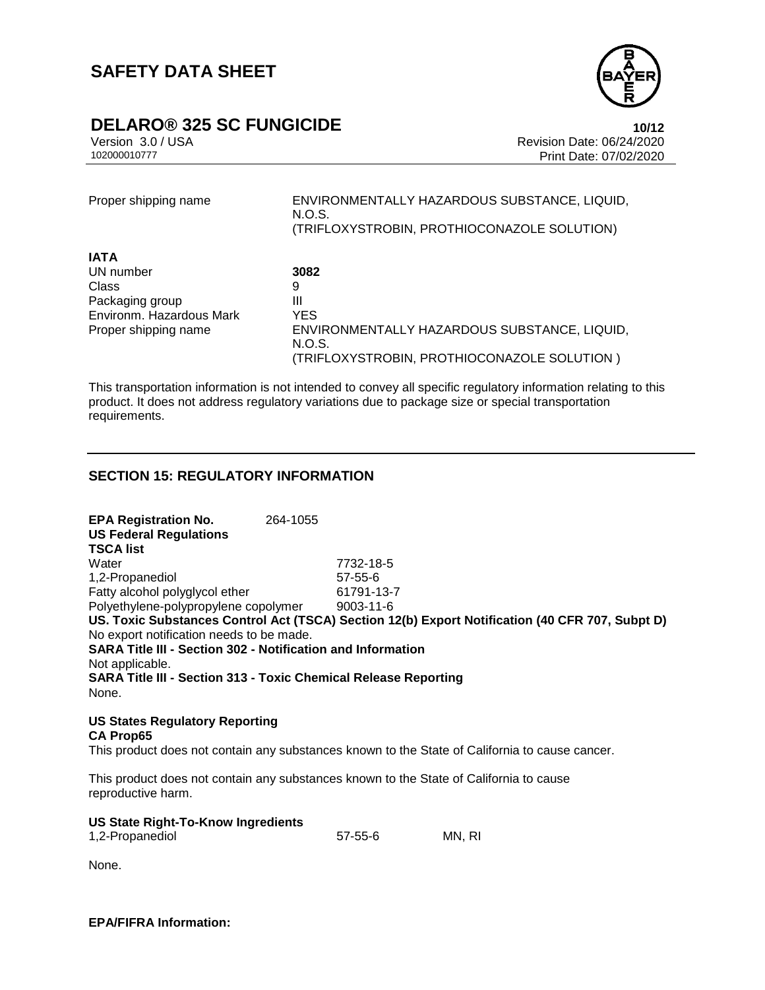

### **DELARO® 325 SC FUNGICIDE 10/12**

**IA I** 

Version 3.0 / USA Revision Date: 06/24/2020 Print Date: 07/02/2020

Proper shipping name ENVIRONMENTALLY HAZARDOUS SUBSTANCE, LIQUID, N.O.S. (TRIFLOXYSTROBIN, PROTHIOCONAZOLE SOLUTION)

| IA I A                   |                                              |
|--------------------------|----------------------------------------------|
| UN number                | 3082                                         |
| Class                    | 9                                            |
| Packaging group          | Ш                                            |
| Environm. Hazardous Mark | YES                                          |
| Proper shipping name     | ENVIRONMENTALLY HAZARDOUS SUBSTANCE, LIQUID, |
|                          | N.O.S.                                       |
|                          | (TRIFLOXYSTROBIN, PROTHIOCONAZOLE SOLUTION)  |

This transportation information is not intended to convey all specific regulatory information relating to this product. It does not address regulatory variations due to package size or special transportation requirements.

### **SECTION 15: REGULATORY INFORMATION**

**EPA Registration No.** 264-1055 **US Federal Regulations TSCA list** Water 7732-18-5 1,2-Propanediol 57-55-6 Fatty alcohol polyglycol ether 61791-13-7 Polyethylene-polypropylene copolymer 9003-11-6 **US. Toxic Substances Control Act (TSCA) Section 12(b) Export Notification (40 CFR 707, Subpt D)** No export notification needs to be made. **SARA Title III - Section 302 - Notification and Information** Not applicable. **SARA Title III - Section 313 - Toxic Chemical Release Reporting** None.

**US States Regulatory Reporting CA Prop65**

This product does not contain any substances known to the State of California to cause cancer.

This product does not contain any substances known to the State of California to cause reproductive harm.

| <b>US State Right-To-Know Ingredients</b> |         |        |
|-------------------------------------------|---------|--------|
| 1,2-Propanediol                           | 57-55-6 | MN. RI |

None.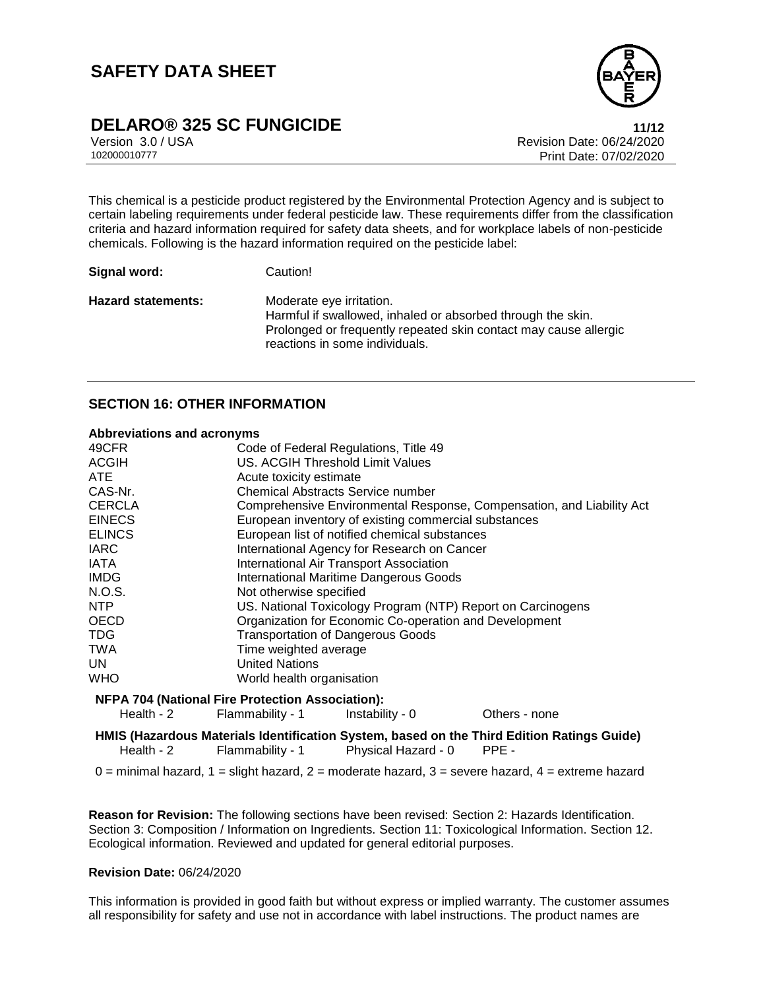

## **DELARO® 325 SC FUNGICIDE 11/12**

Version 3.0 / USA Revision Date: 06/24/2020<br>102000010777<br>Revision Date: 07/02/2020 Print Date: 07/02/2020

This chemical is a pesticide product registered by the Environmental Protection Agency and is subject to certain labeling requirements under federal pesticide law. These requirements differ from the classification criteria and hazard information required for safety data sheets, and for workplace labels of non-pesticide chemicals. Following is the hazard information required on the pesticide label:

| Signal word: | Caution! |  |
|--------------|----------|--|
|              |          |  |

Hazard statements: Moderate eye irritation. Harmful if swallowed, inhaled or absorbed through the skin. Prolonged or frequently repeated skin contact may cause allergic reactions in some individuals.

### **SECTION 16: OTHER INFORMATION**

#### **Abbreviations and acronyms**

| 49CFR                                                   |                                                             | Code of Federal Regulations, Title 49                                 |                                                                                                    |  |
|---------------------------------------------------------|-------------------------------------------------------------|-----------------------------------------------------------------------|----------------------------------------------------------------------------------------------------|--|
| <b>ACGIH</b>                                            |                                                             | <b>US. ACGIH Threshold Limit Values</b>                               |                                                                                                    |  |
| ATE                                                     |                                                             | Acute toxicity estimate                                               |                                                                                                    |  |
| CAS-Nr.                                                 |                                                             | Chemical Abstracts Service number                                     |                                                                                                    |  |
| <b>CERCLA</b>                                           |                                                             | Comprehensive Environmental Response, Compensation, and Liability Act |                                                                                                    |  |
| <b>EINECS</b>                                           |                                                             | European inventory of existing commercial substances                  |                                                                                                    |  |
| <b>ELINCS</b>                                           |                                                             | European list of notified chemical substances                         |                                                                                                    |  |
| <b>IARC</b>                                             |                                                             | International Agency for Research on Cancer                           |                                                                                                    |  |
| IATA                                                    |                                                             | International Air Transport Association                               |                                                                                                    |  |
| <b>IMDG</b>                                             |                                                             | <b>International Maritime Dangerous Goods</b>                         |                                                                                                    |  |
| N.O.S.                                                  |                                                             | Not otherwise specified                                               |                                                                                                    |  |
| NTP                                                     | US. National Toxicology Program (NTP) Report on Carcinogens |                                                                       |                                                                                                    |  |
| OECD                                                    | Organization for Economic Co-operation and Development      |                                                                       |                                                                                                    |  |
| <b>TDG</b>                                              | <b>Transportation of Dangerous Goods</b>                    |                                                                       |                                                                                                    |  |
| TWA                                                     | Time weighted average                                       |                                                                       |                                                                                                    |  |
| UN.                                                     | <b>United Nations</b>                                       |                                                                       |                                                                                                    |  |
| WHO                                                     | World health organisation                                   |                                                                       |                                                                                                    |  |
| <b>NFPA 704 (National Fire Protection Association):</b> |                                                             |                                                                       |                                                                                                    |  |
| Health - 2                                              | Flammability - 1                                            | Instability - 0                                                       | Others - none                                                                                      |  |
| Health - $2$                                            | Flammability - 1                                            | Physical Hazard - 0                                                   | HMIS (Hazardous Materials Identification System, based on the Third Edition Ratings Guide)<br>PPE- |  |
|                                                         |                                                             |                                                                       |                                                                                                    |  |

 $0 =$  minimal hazard,  $1 =$  slight hazard,  $2 =$  moderate hazard,  $3 =$  severe hazard,  $4 =$  extreme hazard

**Reason for Revision:** The following sections have been revised: Section 2: Hazards Identification. Section 3: Composition / Information on Ingredients. Section 11: Toxicological Information. Section 12. Ecological information. Reviewed and updated for general editorial purposes.

#### **Revision Date:** 06/24/2020

This information is provided in good faith but without express or implied warranty. The customer assumes all responsibility for safety and use not in accordance with label instructions. The product names are